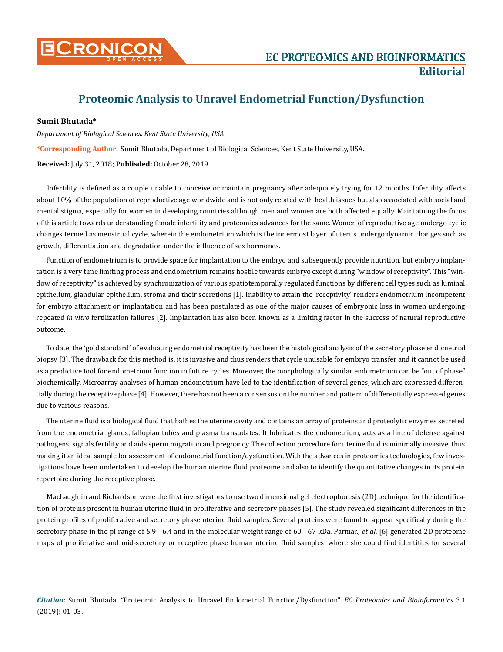

## **Proteomic Analysis to Unravel Endometrial Function/Dysfunction**

## **Sumit Bhutada\***

*Department of Biological Sciences, Kent State University, USA* 

**\*Corresponding Author**: Sumit Bhutada, Department of Biological Sciences, Kent State University, USA.

**Received:** July 31, 2018; **Publisded:** October 28, 2019

Infertility is defined as a couple unable to conceive or maintain pregnancy after adequately trying for 12 months. Infertility affects about 10% of the population of reproductive age worldwide and is not only related with health issues but also associated with social and mental stigma, especially for women in developing countries although men and women are both affected equally. Maintaining the focus of this article towards understanding female infertility and proteomics advances for the same. Women of reproductive age undergo cyclic changes termed as menstrual cycle, wherein the endometrium which is the innermost layer of uterus undergo dynamic changes such as growth, differentiation and degradation under the influence of sex hormones.

Function of endometrium is to provide space for implantation to the embryo and subsequently provide nutrition, but embryo implantation is a very time limiting process and endometrium remains hostile towards embryo except during "window of receptivity". This "window of receptivity" is achieved by synchronization of various spatiotemporally regulated functions by different cell types such as luminal epithelium, glandular epithelium, stroma and their secretions [1]. Inability to attain the 'receptivity' renders endometrium incompetent for embryo attachment or implantation and has been postulated as one of the major causes of embryonic loss in women undergoing repeated *in vitro* fertilization failures [2]. Implantation has also been known as a limiting factor in the success of natural reproductive outcome.

To date, the 'gold standard' of evaluating endometrial receptivity has been the histological analysis of the secretory phase endometrial biopsy [3]. The drawback for this method is, it is invasive and thus renders that cycle unusable for embryo transfer and it cannot be used as a predictive tool for endometrium function in future cycles. Moreover, the morphologically similar endometrium can be "out of phase" biochemically. Microarray analyses of human endometrium have led to the identification of several genes, which are expressed differentially during the receptive phase [4]. However, there has not been a consensus on the number and pattern of differentially expressed genes due to various reasons.

The uterine fluid is a biological fluid that bathes the uterine cavity and contains an array of proteins and proteolytic enzymes secreted from the endometrial glands, fallopian tubes and plasma transudates. It lubricates the endometrium, acts as a line of defense against pathogens, signals fertility and aids sperm migration and pregnancy. The collection procedure for uterine fluid is minimally invasive, thus making it an ideal sample for assessment of endometrial function/dysfunction. With the advances in proteomics technologies, few investigations have been undertaken to develop the human uterine fluid proteome and also to identify the quantitative changes in its protein repertoire during the receptive phase.

MacLaughlin and Richardson were the first investigators to use two dimensional gel electrophoresis (2D) technique for the identification of proteins present in human uterine fluid in proliferative and secretory phases [5]. The study revealed significant differences in the protein profiles of proliferative and secretory phase uterine fluid samples. Several proteins were found to appear specifically during the secretory phase in the pI range of 5.9 - 6.4 and in the molecular weight range of 60 - 67 kDa. Parmar., *et al*. [6] generated 2D proteome maps of proliferative and mid-secretory or receptive phase human uterine fluid samples, where she could find identities for several

*Citation:* Sumit Bhutada. "Proteomic Analysis to Unravel Endometrial Function/Dysfunction". *EC Proteomics and Bioinformatics* 3.1 (2019): 01-03.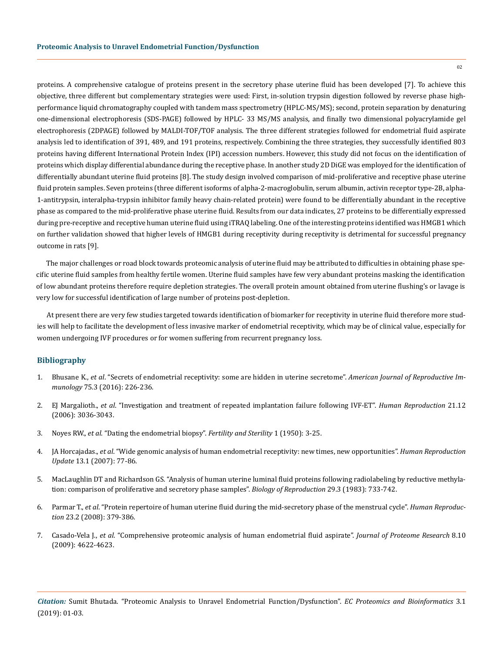proteins. A comprehensive catalogue of proteins present in the secretory phase uterine fluid has been developed [7]. To achieve this objective, three different but complementary strategies were used: First, in-solution trypsin digestion followed by reverse phase highperformance liquid chromatography coupled with tandem mass spectrometry (HPLC-MS/MS); second, protein separation by denaturing one-dimensional electrophoresis (SDS-PAGE) followed by HPLC- 33 MS/MS analysis, and finally two dimensional polyacrylamide gel electrophoresis (2DPAGE) followed by MALDI-TOF/TOF analysis. The three different strategies followed for endometrial fluid aspirate analysis led to identification of 391, 489, and 191 proteins, respectively. Combining the three strategies, they successfully identified 803 proteins having different International Protein Index (IPI) accession numbers. However, this study did not focus on the identification of proteins which display differential abundance during the receptive phase. In another study 2D DiGE was employed for the identification of differentially abundant uterine fluid proteins [8]. The study design involved comparison of mid-proliferative and receptive phase uterine fluid protein samples. Seven proteins (three different isoforms of alpha-2-macroglobulin, serum albumin, activin receptor type-2B, alpha-1-antitrypsin, interalpha-trypsin inhibitor family heavy chain-related protein) were found to be differentially abundant in the receptive phase as compared to the mid-proliferative phase uterine fluid. Results from our data indicates, 27 proteins to be differentially expressed during pre-receptive and receptive human uterine fluid using iTRAQ labeling. One of the interesting proteins identified was HMGB1 which on further validation showed that higher levels of HMGB1 during receptivity during receptivity is detrimental for successful pregnancy outcome in rats [9].

The major challenges or road block towards proteomic analysis of uterine fluid may be attributed to difficulties in obtaining phase specific uterine fluid samples from healthy fertile women. Uterine fluid samples have few very abundant proteins masking the identification of low abundant proteins therefore require depletion strategies. The overall protein amount obtained from uterine flushing's or lavage is very low for successful identification of large number of proteins post-depletion.

At present there are very few studies targeted towards identification of biomarker for receptivity in uterine fluid therefore more studies will help to facilitate the development of less invasive marker of endometrial receptivity, which may be of clinical value, especially for women undergoing IVF procedures or for women suffering from recurrent pregnancy loss.

## **Bibliography**

- 1. Bhusane K., *et al*[. "Secrets of endometrial receptivity: some are hidden in uterine secretome".](https://www.ncbi.nlm.nih.gov/pubmed/26865379) *American Journal of Reproductive Immunology* [75.3 \(2016\): 226-236.](https://www.ncbi.nlm.nih.gov/pubmed/26865379)
- 2. EJ Margalioth., *et al*[. "Investigation and treatment of repeated implantation failure following IVF-ET".](https://www.ncbi.nlm.nih.gov/pubmed/16905766) *Human Reproduction* 21.12 [\(2006\): 3036-3043.](https://www.ncbi.nlm.nih.gov/pubmed/16905766)
- 3. Noyes RW., *et al*[. "Dating the endometrial biopsy".](https://www.fertstert.org/article/S0015-0282(16)30062-0/pdf) *Fertility and Sterility* 1 (1950): 3-25.
- 4. JA Horcajadas., *et al*[. "Wide genomic analysis of human endometrial receptivity: new times, new opportunities".](https://www.ncbi.nlm.nih.gov/pubmed/16960016) *Human Reproduction Update* [13.1 \(2007\): 77-86.](https://www.ncbi.nlm.nih.gov/pubmed/16960016)
- 5. [MacLaughlin DT and Richardson GS. "Analysis of human uterine luminal fluid proteins following radiolabeling by reductive methyla](https://www.ncbi.nlm.nih.gov/pubmed/6626651)[tion: comparison of proliferative and secretory phase samples".](https://www.ncbi.nlm.nih.gov/pubmed/6626651) *Biology of Reproduction* 29.3 (1983): 733-742.
- 6. Parmar T., *et al*[. "Protein repertoire of human uterine fluid during the mid-secretory phase of the menstrual cycle".](https://www.ncbi.nlm.nih.gov/pubmed/18033938) *Human Reproduction* [23.2 \(2008\): 379-386.](https://www.ncbi.nlm.nih.gov/pubmed/18033938)
- 7. Casado-Vela J., *et al*[. "Comprehensive proteomic analysis of human endometrial fluid aspirate".](https://www.ncbi.nlm.nih.gov/pubmed/19670903) *Journal of Proteome Research* 8.10 [\(2009\): 4622-4623.](https://www.ncbi.nlm.nih.gov/pubmed/19670903)

02